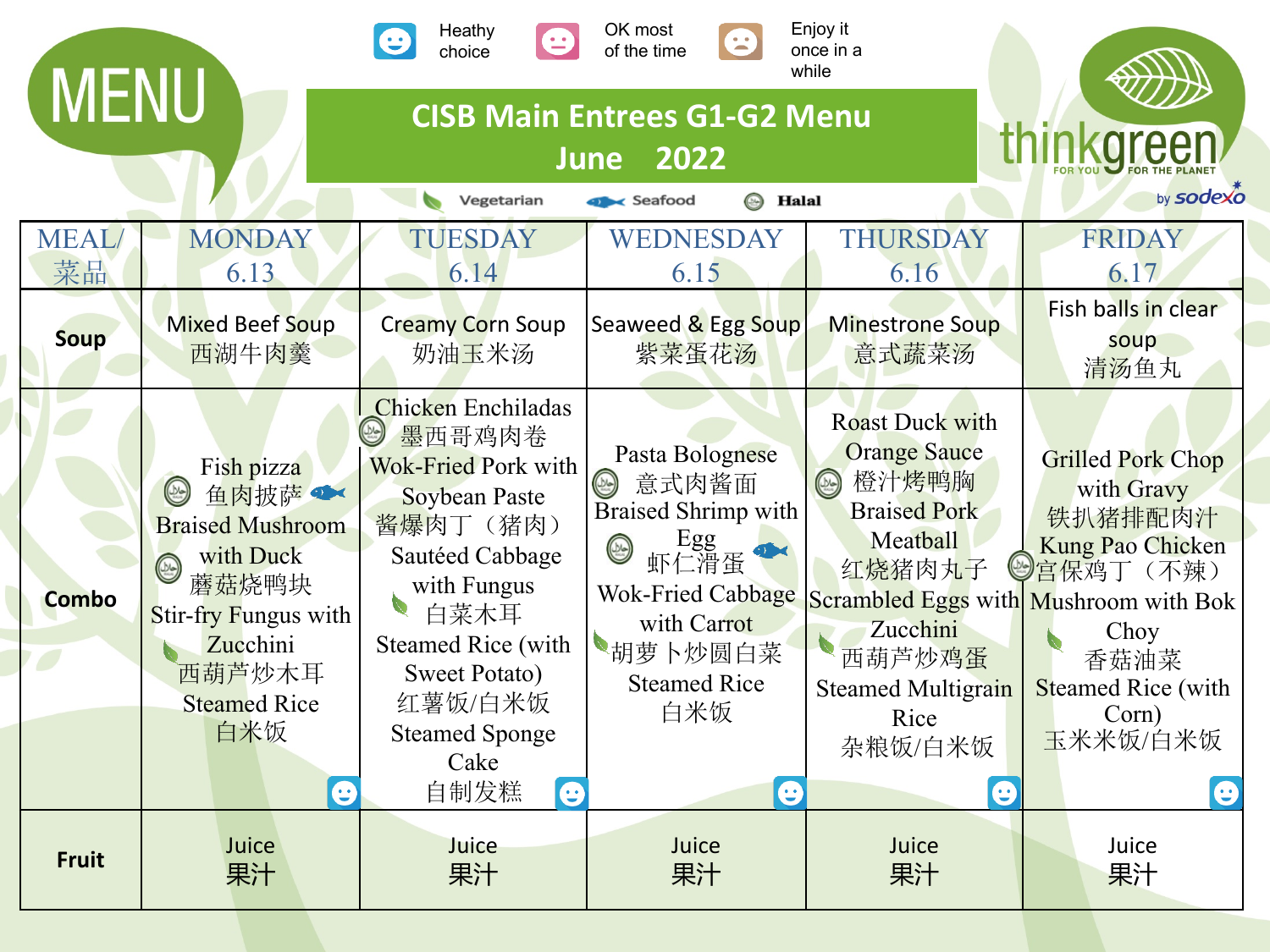|                                                                                                                                                 |                                                                                                                                                                                                  | Heathy<br>choice                                                                                                                                                                                                                                                                | OK most<br>8<br>of the time                                                                                                                                                                     | Enjoy it<br>once in a<br>while                                                                                                                                                                   |                                                                                                                                                                                                                          |  |  |  |
|-------------------------------------------------------------------------------------------------------------------------------------------------|--------------------------------------------------------------------------------------------------------------------------------------------------------------------------------------------------|---------------------------------------------------------------------------------------------------------------------------------------------------------------------------------------------------------------------------------------------------------------------------------|-------------------------------------------------------------------------------------------------------------------------------------------------------------------------------------------------|--------------------------------------------------------------------------------------------------------------------------------------------------------------------------------------------------|--------------------------------------------------------------------------------------------------------------------------------------------------------------------------------------------------------------------------|--|--|--|
| <b>MENU</b><br><b>CISB Main Entrees G1-G2 Menu</b><br>thinkareer<br>2022<br><b>June</b><br>by sodexo<br><b>B</b> Halal<br>Vegetarian<br>Seafood |                                                                                                                                                                                                  |                                                                                                                                                                                                                                                                                 |                                                                                                                                                                                                 |                                                                                                                                                                                                  |                                                                                                                                                                                                                          |  |  |  |
| <b>MEAL</b><br>菜品                                                                                                                               | <b>MONDAY</b><br>6.13                                                                                                                                                                            | <b>TUESDAY</b><br>6.14                                                                                                                                                                                                                                                          | WEDNESDAY<br>6.15                                                                                                                                                                               | THURSDAY<br>6.16                                                                                                                                                                                 | <b>FRIDAY</b><br>6.17                                                                                                                                                                                                    |  |  |  |
| <b>Soup</b>                                                                                                                                     | <b>Mixed Beef Soup</b><br>西湖牛肉羹                                                                                                                                                                  | <b>Creamy Corn Soup</b><br>奶油玉米汤                                                                                                                                                                                                                                                | Seaweed & Egg Soup<br>紫菜蛋花汤                                                                                                                                                                     | <b>Minestrone Soup</b><br>意式蔬菜汤                                                                                                                                                                  | Fish balls in clear<br>soup<br>清汤鱼丸                                                                                                                                                                                      |  |  |  |
| <b>Combo</b>                                                                                                                                    | Fish pizza<br>$\circledcirc$<br>鱼肉披萨<br><b>Braised Mushroom</b><br>with Duck<br>$\circledcirc$<br>蘑菇烧鸭块<br>Stir-fry Fungus with<br>Zucchini<br>西葫芦炒木耳<br><b>Steamed Rice</b><br>白米饭<br>$\bullet$ | <b>Chicken</b> Enchiladas<br>$\circledcirc$<br>墨西哥鸡肉卷<br><b>Wok-Fried Pork with</b><br><b>Soybean Paste</b><br>酱爆肉丁(猪肉)<br>Sautéed Cabbage<br>with Fungus<br>白菜木耳<br><b>Steamed Rice (with</b><br><b>Sweet Potato)</b><br>红薯饭/白米饭<br><b>Steamed Sponge</b><br>Cake<br>自制发糕<br>e | Pasta Bolognese<br>意式肉酱面<br>$\circledcirc$<br><b>Braised Shrimp with</b><br>Egg<br>虾仁滑蛋<br>$\circledR$<br><b>Wok-Fried Cabbage</b><br>with Carrot<br>胡萝卜炒圆白菜<br><b>Steamed Rice</b><br>白米饭<br>e | <b>Roast Duck with</b><br><b>Orange Sauce</b><br>橙汁烤鸭胸<br>$\circledcirc$<br><b>Braised Pork</b><br>Meatball<br>红烧猪肉丸子<br>Zucchini<br>西葫芦炒鸡蛋<br><b>Steamed Multigrain</b><br>Rice<br>杂粮饭/白米饭<br>⊕ | <b>Grilled Pork Chop</b><br>with Gravy<br>铁扒猪排配肉汁<br><b>Kung Pao Chicken</b><br><mark>(◎)宫保鸡丁(不辣)</mark><br>Scrambled Eggs with Mushroom with Bok<br>Choy<br>香菇油菜<br><b>Steamed Rice (with</b><br>Corn)<br>玉米米饭/白米饭<br>e |  |  |  |
| <b>Fruit</b>                                                                                                                                    | Juice<br>果汁                                                                                                                                                                                      | Juice<br>果汁                                                                                                                                                                                                                                                                     | Juice<br>果汁                                                                                                                                                                                     | Juice<br>果汁                                                                                                                                                                                      | Juice<br>果汁                                                                                                                                                                                                              |  |  |  |